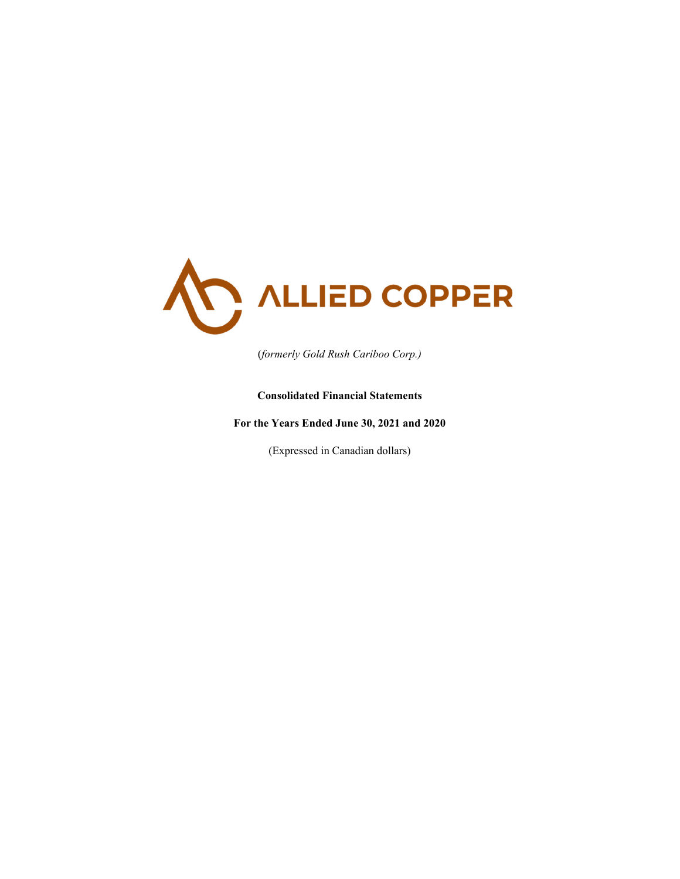

(*formerly Gold Rush Cariboo Corp.)* 

# **Consolidated Financial Statements**

# **For the Years Ended June 30, 2021 and 2020**

(Expressed in Canadian dollars)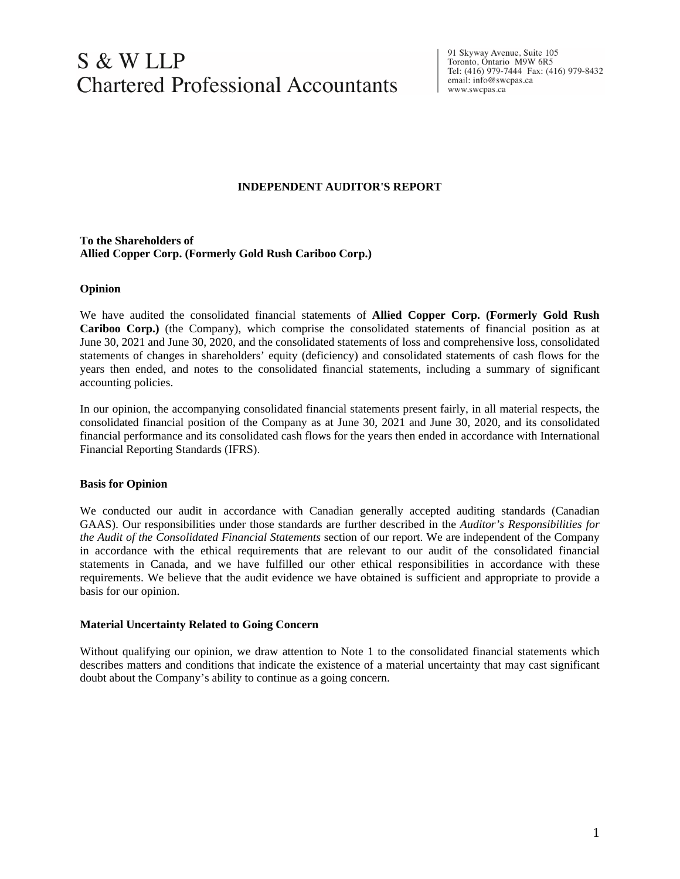# $S & W L L P$ **Chartered Professional Accountants**

91 Skyway Avenue, Suite 105 Toronto, Ontario M9W 6R5 Tel: (416) 979-7444 Fax: (416) 979-8432 email: info@swcpas.ca www.swcpas.ca

# **INDEPENDENT AUDITOR'S REPORT**

# **To the Shareholders of Allied Copper Corp. (Formerly Gold Rush Cariboo Corp.)**

## **Opinion**

We have audited the consolidated financial statements of **Allied Copper Corp. (Formerly Gold Rush Cariboo Corp.)** (the Company), which comprise the consolidated statements of financial position as at June 30, 2021 and June 30, 2020, and the consolidated statements of loss and comprehensive loss, consolidated statements of changes in shareholders' equity (deficiency) and consolidated statements of cash flows for the years then ended, and notes to the consolidated financial statements, including a summary of significant accounting policies.

In our opinion, the accompanying consolidated financial statements present fairly, in all material respects, the consolidated financial position of the Company as at June 30, 2021 and June 30, 2020, and its consolidated financial performance and its consolidated cash flows for the years then ended in accordance with International Financial Reporting Standards (IFRS).

# **Basis for Opinion**

We conducted our audit in accordance with Canadian generally accepted auditing standards (Canadian GAAS). Our responsibilities under those standards are further described in the *Auditor's Responsibilities for the Audit of the Consolidated Financial Statements* section of our report. We are independent of the Company in accordance with the ethical requirements that are relevant to our audit of the consolidated financial statements in Canada, and we have fulfilled our other ethical responsibilities in accordance with these requirements. We believe that the audit evidence we have obtained is sufficient and appropriate to provide a basis for our opinion.

# **Material Uncertainty Related to Going Concern**

Without qualifying our opinion, we draw attention to Note 1 to the consolidated financial statements which describes matters and conditions that indicate the existence of a material uncertainty that may cast significant doubt about the Company's ability to continue as a going concern.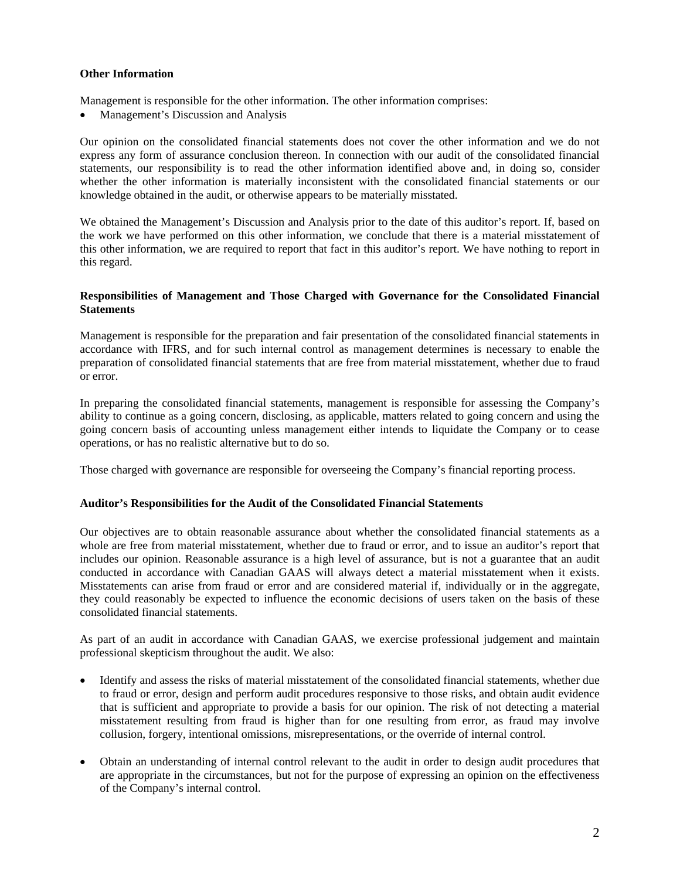# **Other Information**

Management is responsible for the other information. The other information comprises:

Management's Discussion and Analysis

Our opinion on the consolidated financial statements does not cover the other information and we do not express any form of assurance conclusion thereon. In connection with our audit of the consolidated financial statements, our responsibility is to read the other information identified above and, in doing so, consider whether the other information is materially inconsistent with the consolidated financial statements or our knowledge obtained in the audit, or otherwise appears to be materially misstated.

We obtained the Management's Discussion and Analysis prior to the date of this auditor's report. If, based on the work we have performed on this other information, we conclude that there is a material misstatement of this other information, we are required to report that fact in this auditor's report. We have nothing to report in this regard.

# **Responsibilities of Management and Those Charged with Governance for the Consolidated Financial Statements**

Management is responsible for the preparation and fair presentation of the consolidated financial statements in accordance with IFRS, and for such internal control as management determines is necessary to enable the preparation of consolidated financial statements that are free from material misstatement, whether due to fraud or error.

In preparing the consolidated financial statements, management is responsible for assessing the Company's ability to continue as a going concern, disclosing, as applicable, matters related to going concern and using the going concern basis of accounting unless management either intends to liquidate the Company or to cease operations, or has no realistic alternative but to do so.

Those charged with governance are responsible for overseeing the Company's financial reporting process.

# **Auditor's Responsibilities for the Audit of the Consolidated Financial Statements**

Our objectives are to obtain reasonable assurance about whether the consolidated financial statements as a whole are free from material misstatement, whether due to fraud or error, and to issue an auditor's report that includes our opinion. Reasonable assurance is a high level of assurance, but is not a guarantee that an audit conducted in accordance with Canadian GAAS will always detect a material misstatement when it exists. Misstatements can arise from fraud or error and are considered material if, individually or in the aggregate, they could reasonably be expected to influence the economic decisions of users taken on the basis of these consolidated financial statements.

As part of an audit in accordance with Canadian GAAS, we exercise professional judgement and maintain professional skepticism throughout the audit. We also:

- Identify and assess the risks of material misstatement of the consolidated financial statements, whether due to fraud or error, design and perform audit procedures responsive to those risks, and obtain audit evidence that is sufficient and appropriate to provide a basis for our opinion. The risk of not detecting a material misstatement resulting from fraud is higher than for one resulting from error, as fraud may involve collusion, forgery, intentional omissions, misrepresentations, or the override of internal control.
- Obtain an understanding of internal control relevant to the audit in order to design audit procedures that are appropriate in the circumstances, but not for the purpose of expressing an opinion on the effectiveness of the Company's internal control.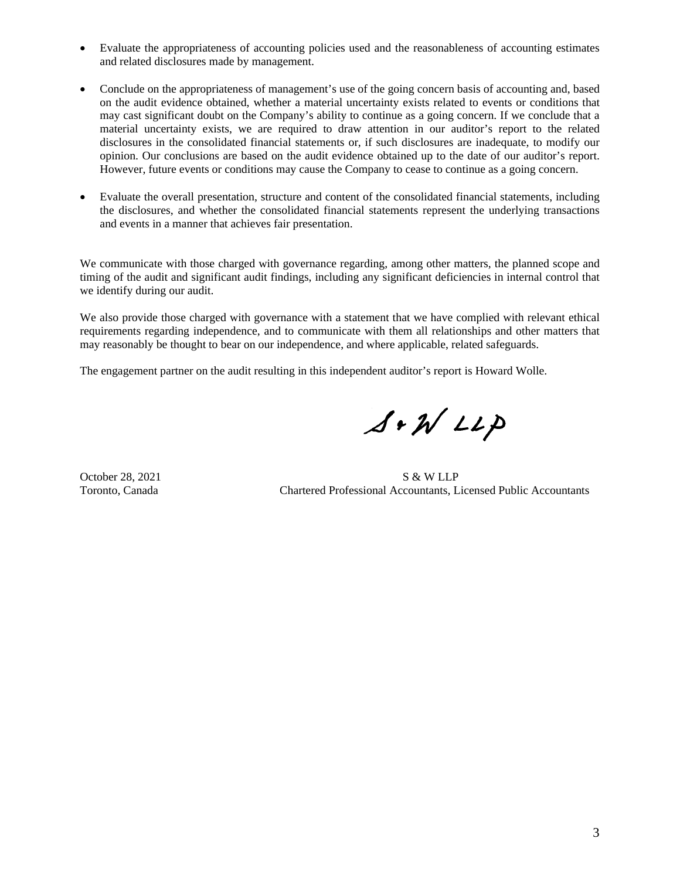- Evaluate the appropriateness of accounting policies used and the reasonableness of accounting estimates and related disclosures made by management.
- Conclude on the appropriateness of management's use of the going concern basis of accounting and, based on the audit evidence obtained, whether a material uncertainty exists related to events or conditions that may cast significant doubt on the Company's ability to continue as a going concern. If we conclude that a material uncertainty exists, we are required to draw attention in our auditor's report to the related disclosures in the consolidated financial statements or, if such disclosures are inadequate, to modify our opinion. Our conclusions are based on the audit evidence obtained up to the date of our auditor's report. However, future events or conditions may cause the Company to cease to continue as a going concern.
- Evaluate the overall presentation, structure and content of the consolidated financial statements, including the disclosures, and whether the consolidated financial statements represent the underlying transactions and events in a manner that achieves fair presentation.

We communicate with those charged with governance regarding, among other matters, the planned scope and timing of the audit and significant audit findings, including any significant deficiencies in internal control that we identify during our audit.

We also provide those charged with governance with a statement that we have complied with relevant ethical requirements regarding independence, and to communicate with them all relationships and other matters that may reasonably be thought to bear on our independence, and where applicable, related safeguards.

The engagement partner on the audit resulting in this independent auditor's report is Howard Wolle.

 $\mathcal{A} \cdot \mathcal{N}$  LLP

October 28, 2021 S & W LLP Toronto, Canada Chartered Professional Accountants, Licensed Public Accountants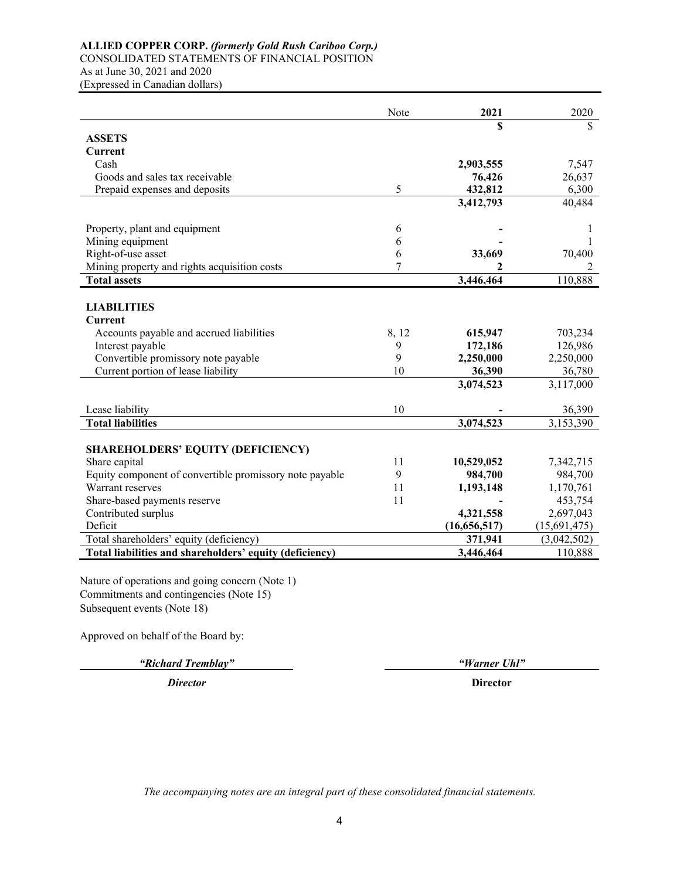# **ALLIED COPPER CORP.** *(formerly Gold Rush Cariboo Corp.)* CONSOLIDATED STATEMENTS OF FINANCIAL POSITION

As at June 30, 2021 and 2020

(Expressed in Canadian dollars)

|                                                         | Note | 2021           | 2020         |
|---------------------------------------------------------|------|----------------|--------------|
|                                                         |      | \$             | \$           |
| <b>ASSETS</b>                                           |      |                |              |
| Current                                                 |      |                |              |
| Cash                                                    |      | 2,903,555      | 7,547        |
| Goods and sales tax receivable                          |      | 76,426         | 26,637       |
| Prepaid expenses and deposits                           | 5    | 432,812        | 6,300        |
|                                                         |      | 3,412,793      | 40,484       |
|                                                         |      |                |              |
| Property, plant and equipment                           | 6    |                |              |
| Mining equipment                                        | 6    |                | 1            |
| Right-of-use asset                                      | 6    | 33,669         | 70,400       |
| Mining property and rights acquisition costs            | 7    |                |              |
| <b>Total assets</b>                                     |      | 3,446,464      | 110,888      |
|                                                         |      |                |              |
| <b>LIABILITIES</b>                                      |      |                |              |
| Current                                                 |      |                |              |
| Accounts payable and accrued liabilities                | 8,12 | 615,947        | 703,234      |
| Interest payable                                        | 9    | 172,186        | 126,986      |
| Convertible promissory note payable                     | 9    | 2,250,000      | 2,250,000    |
| Current portion of lease liability                      | 10   | 36,390         | 36,780       |
|                                                         |      | 3,074,523      | 3,117,000    |
|                                                         |      |                |              |
| Lease liability                                         | 10   |                | 36,390       |
| <b>Total liabilities</b>                                |      | 3,074,523      | 3,153,390    |
|                                                         |      |                |              |
| <b>SHAREHOLDERS' EQUITY (DEFICIENCY)</b>                |      |                |              |
| Share capital                                           | 11   | 10,529,052     | 7,342,715    |
| Equity component of convertible promissory note payable | 9    | 984,700        | 984,700      |
| Warrant reserves                                        | 11   | 1,193,148      | 1,170,761    |
| Share-based payments reserve                            | 11   |                | 453,754      |
| Contributed surplus                                     |      | 4,321,558      | 2,697,043    |
| Deficit                                                 |      | (16, 656, 517) | (15,691,475) |
| Total shareholders' equity (deficiency)                 |      | 371,941        | (3,042,502)  |
| Total liabilities and shareholders' equity (deficiency) |      | 3,446,464      | 110,888      |

Nature of operations and going concern (Note 1) Commitments and contingencies (Note 15) Subsequent events (Note 18)

Approved on behalf of the Board by:

*"Richard Tremblay" "Warner Uhl"* 

*Director* **Director** 

*The accompanying notes are an integral part of these consolidated financial statements.*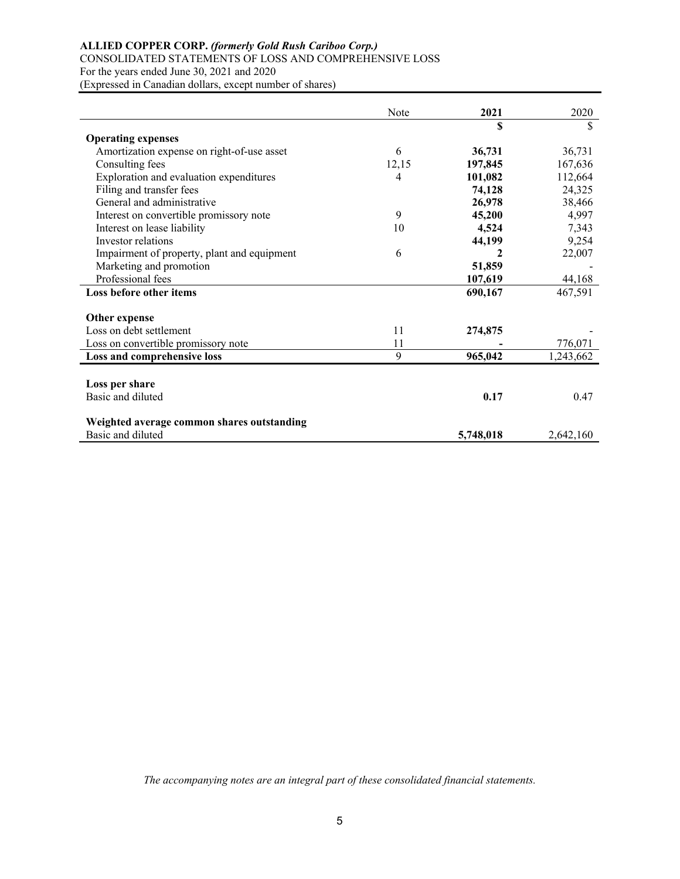# **ALLIED COPPER CORP.** *(formerly Gold Rush Cariboo Corp.)*

#### CONSOLIDATED STATEMENTS OF LOSS AND COMPREHENSIVE LOSS

For the years ended June 30, 2021 and 2020

(Expressed in Canadian dollars, except number of shares)

|                                             | Note  | 2021      | 2020      |
|---------------------------------------------|-------|-----------|-----------|
|                                             |       | \$        | \$        |
| <b>Operating expenses</b>                   |       |           |           |
| Amortization expense on right-of-use asset  | 6     | 36,731    | 36,731    |
| Consulting fees                             | 12,15 | 197,845   | 167,636   |
| Exploration and evaluation expenditures     | 4     | 101,082   | 112,664   |
| Filing and transfer fees                    |       | 74,128    | 24,325    |
| General and administrative                  |       | 26,978    | 38,466    |
| Interest on convertible promissory note     | 9     | 45,200    | 4,997     |
| Interest on lease liability                 | 10    | 4,524     | 7,343     |
| Investor relations                          |       | 44,199    | 9,254     |
| Impairment of property, plant and equipment | 6     | 2         | 22,007    |
| Marketing and promotion                     |       | 51,859    |           |
| Professional fees                           |       | 107,619   | 44,168    |
| Loss before other items                     |       | 690,167   | 467,591   |
| Other expense                               |       |           |           |
| Loss on debt settlement                     | 11    | 274,875   |           |
| Loss on convertible promissory note         | 11    |           | 776,071   |
| Loss and comprehensive loss                 | 9     | 965,042   | 1,243,662 |
|                                             |       |           |           |
| Loss per share                              |       |           |           |
| Basic and diluted                           |       | 0.17      | 0.47      |
| Weighted average common shares outstanding  |       |           |           |
| Basic and diluted                           |       | 5,748,018 | 2,642,160 |

*The accompanying notes are an integral part of these consolidated financial statements.*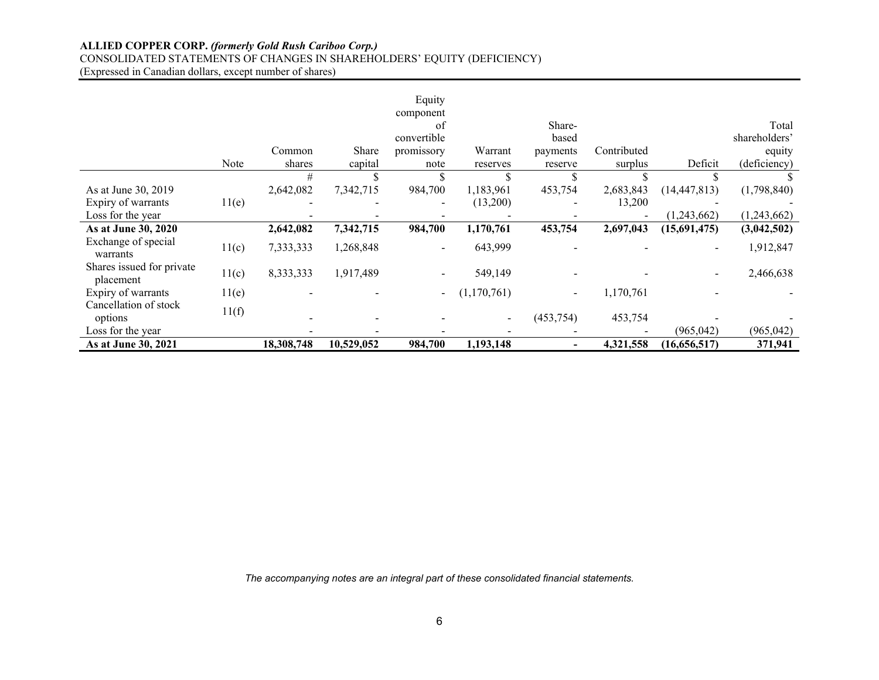#### **ALLIED COPPER CORP.** *(formerly Gold Rush Cariboo Corp.)*

CONSOLIDATED STATEMENTS OF CHANGES IN SHAREHOLDERS' EQUITY (DEFICIENCY)

(Expressed in Canadian dollars, except number of shares)

|                                        |       |            |            | Equity      |                |                |             |                |               |
|----------------------------------------|-------|------------|------------|-------------|----------------|----------------|-------------|----------------|---------------|
|                                        |       |            |            | component   |                |                |             |                |               |
|                                        |       |            |            | of          |                | Share-         |             |                | Total         |
|                                        |       |            |            | convertible |                | based          |             |                | shareholders' |
|                                        |       | Common     | Share      | promissory  | Warrant        | payments       | Contributed |                | equity        |
|                                        | Note  | shares     | capital    | note        | reserves       | reserve        | surplus     | Deficit        | (deficiency)  |
|                                        |       | #          |            |             | \$             |                |             |                |               |
| As at June 30, 2019                    |       | 2,642,082  | 7,342,715  | 984,700     | 1,183,961      | 453,754        | 2,683,843   | (14, 447, 813) | (1,798,840)   |
| Expiry of warrants                     | 11(e) |            |            |             | (13,200)       |                | 13,200      |                |               |
| Loss for the year                      |       |            |            |             |                |                |             | (1,243,662)    | (1,243,662)   |
| As at June 30, 2020                    |       | 2,642,082  | 7,342,715  | 984,700     | 1,170,761      | 453,754        | 2,697,043   | (15,691,475)   | (3,042,502)   |
| Exchange of special<br>warrants        | 11(c) | 7,333,333  | 1,268,848  |             | 643,999        |                |             |                | 1,912,847     |
| Shares issued for private<br>placement | 11(c) | 8,333,333  | 1,917,489  |             | 549,149        |                |             |                | 2,466,638     |
| Expiry of warrants                     | 11(e) |            |            | Ξ.          | (1, 170, 761)  | $\blacksquare$ | 1,170,761   |                |               |
| Cancellation of stock                  | 11(f) |            |            |             |                |                |             |                |               |
| options                                |       |            |            |             | $\blacksquare$ | (453, 754)     | 453,754     |                |               |
| Loss for the year                      |       |            |            |             |                |                |             | (965, 042)     | (965, 042)    |
| As at June 30, 2021                    |       | 18,308,748 | 10,529,052 | 984,700     | 1,193,148      |                | 4,321,558   | (16, 656, 517) | 371,941       |

*The accompanying notes are an integral part of these consolidated financial statements.*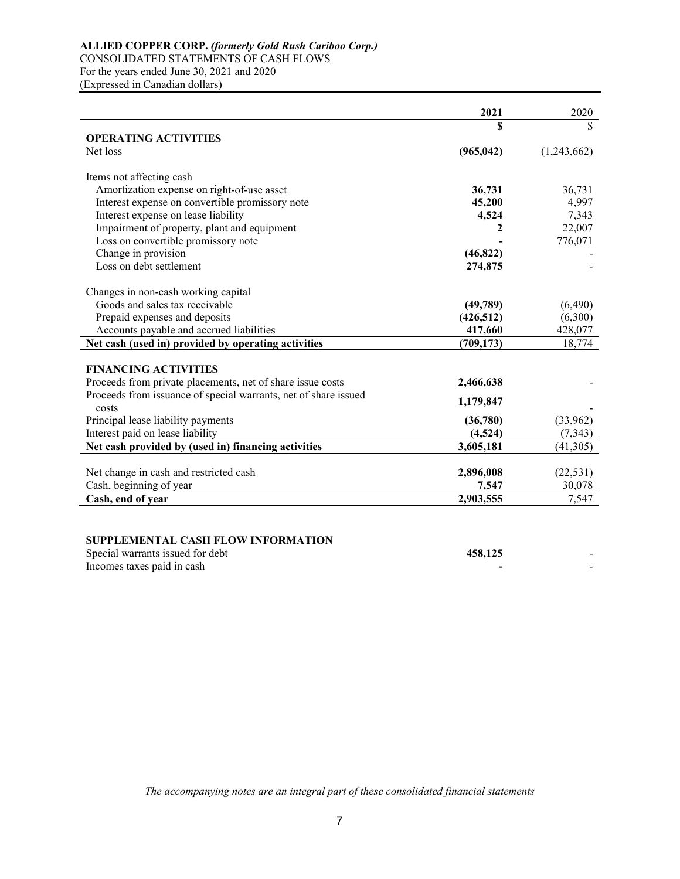# **ALLIED COPPER CORP.** *(formerly Gold Rush Cariboo Corp.)* CONSOLIDATED STATEMENTS OF CASH FLOWS For the years ended June 30, 2021 and 2020 (Expressed in Canadian dollars)

|                                                                          | 2021       | 2020        |
|--------------------------------------------------------------------------|------------|-------------|
|                                                                          | \$         | S           |
| <b>OPERATING ACTIVITIES</b>                                              |            |             |
| Net loss                                                                 | (965, 042) | (1,243,662) |
| Items not affecting cash                                                 |            |             |
| Amortization expense on right-of-use asset                               | 36,731     | 36,731      |
| Interest expense on convertible promissory note                          | 45,200     | 4,997       |
| Interest expense on lease liability                                      | 4,524      | 7,343       |
| Impairment of property, plant and equipment                              | 2          | 22,007      |
| Loss on convertible promissory note                                      |            | 776,071     |
| Change in provision                                                      | (46, 822)  |             |
| Loss on debt settlement                                                  | 274,875    |             |
| Changes in non-cash working capital                                      |            |             |
| Goods and sales tax receivable                                           | (49,789)   | (6,490)     |
| Prepaid expenses and deposits                                            | (426, 512) | (6,300)     |
| Accounts payable and accrued liabilities                                 | 417,660    | 428,077     |
| Net cash (used in) provided by operating activities                      | (709, 173) | 18,774      |
| <b>FINANCING ACTIVITIES</b>                                              |            |             |
| Proceeds from private placements, net of share issue costs               | 2,466,638  |             |
| Proceeds from issuance of special warrants, net of share issued<br>costs | 1,179,847  |             |
| Principal lease liability payments                                       | (36,780)   | (33,962)    |
| Interest paid on lease liability                                         | (4,524)    | (7, 343)    |
| Net cash provided by (used in) financing activities                      | 3,605,181  | (41,305)    |
|                                                                          |            |             |
| Net change in cash and restricted cash                                   | 2,896,008  | (22, 531)   |
| Cash, beginning of year                                                  | 7,547      | 30,078      |
| Cash, end of year                                                        | 2,903,555  | 7,547       |
|                                                                          |            |             |

# **SUPPLEMENTAL CASH FLOW INFORMATION**

| Special warrants issued for debt | 458.125 |  |
|----------------------------------|---------|--|
| Incomes taxes paid in cash       |         |  |

*The accompanying notes are an integral part of these consolidated financial statements*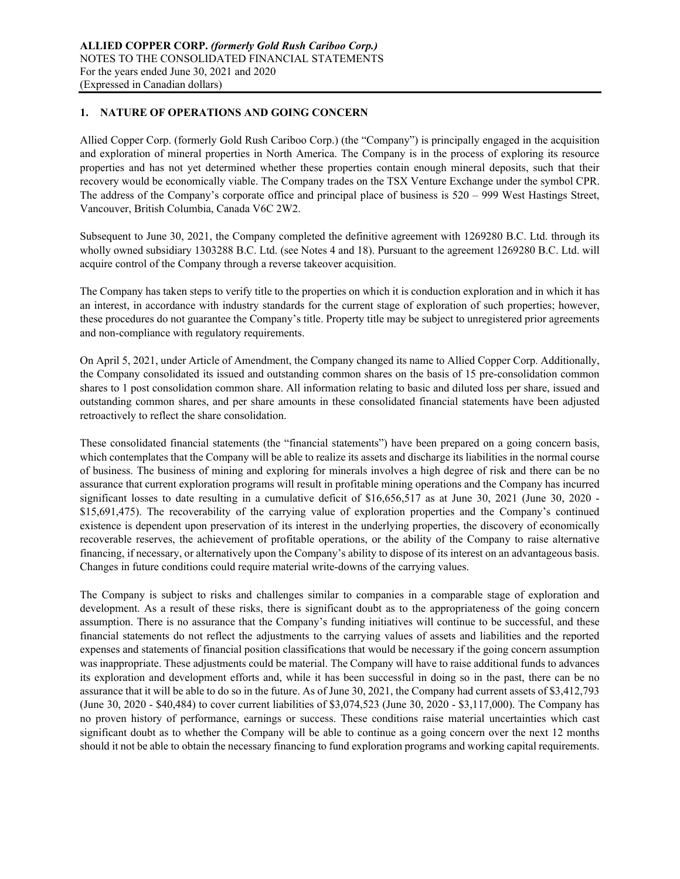# **1. NATURE OF OPERATIONS AND GOING CONCERN**

Allied Copper Corp. (formerly Gold Rush Cariboo Corp.) (the "Company") is principally engaged in the acquisition and exploration of mineral properties in North America. The Company is in the process of exploring its resource properties and has not yet determined whether these properties contain enough mineral deposits, such that their recovery would be economically viable. The Company trades on the TSX Venture Exchange under the symbol CPR. The address of the Company's corporate office and principal place of business is 520 – 999 West Hastings Street, Vancouver, British Columbia, Canada V6C 2W2.

Subsequent to June 30, 2021, the Company completed the definitive agreement with 1269280 B.C. Ltd. through its wholly owned subsidiary 1303288 B.C. Ltd. (see Notes 4 and 18). Pursuant to the agreement 1269280 B.C. Ltd. will acquire control of the Company through a reverse takeover acquisition.

The Company has taken steps to verify title to the properties on which it is conduction exploration and in which it has an interest, in accordance with industry standards for the current stage of exploration of such properties; however, these procedures do not guarantee the Company's title. Property title may be subject to unregistered prior agreements and non-compliance with regulatory requirements.

On April 5, 2021, under Article of Amendment, the Company changed its name to Allied Copper Corp. Additionally, the Company consolidated its issued and outstanding common shares on the basis of 15 pre-consolidation common shares to 1 post consolidation common share. All information relating to basic and diluted loss per share, issued and outstanding common shares, and per share amounts in these consolidated financial statements have been adjusted retroactively to reflect the share consolidation.

These consolidated financial statements (the "financial statements") have been prepared on a going concern basis, which contemplates that the Company will be able to realize its assets and discharge its liabilities in the normal course of business. The business of mining and exploring for minerals involves a high degree of risk and there can be no assurance that current exploration programs will result in profitable mining operations and the Company has incurred significant losses to date resulting in a cumulative deficit of \$16,656,517 as at June 30, 2021 (June 30, 2020 - \$15,691,475). The recoverability of the carrying value of exploration properties and the Company's continued existence is dependent upon preservation of its interest in the underlying properties, the discovery of economically recoverable reserves, the achievement of profitable operations, or the ability of the Company to raise alternative financing, if necessary, or alternatively upon the Company's ability to dispose of its interest on an advantageous basis. Changes in future conditions could require material write-downs of the carrying values.

The Company is subject to risks and challenges similar to companies in a comparable stage of exploration and development. As a result of these risks, there is significant doubt as to the appropriateness of the going concern assumption. There is no assurance that the Company's funding initiatives will continue to be successful, and these financial statements do not reflect the adjustments to the carrying values of assets and liabilities and the reported expenses and statements of financial position classifications that would be necessary if the going concern assumption was inappropriate. These adjustments could be material. The Company will have to raise additional funds to advances its exploration and development efforts and, while it has been successful in doing so in the past, there can be no assurance that it will be able to do so in the future. As of June 30, 2021, the Company had current assets of \$3,412,793 (June 30, 2020 - \$40,484) to cover current liabilities of \$3,074,523 (June 30, 2020 - \$3,117,000). The Company has no proven history of performance, earnings or success. These conditions raise material uncertainties which cast significant doubt as to whether the Company will be able to continue as a going concern over the next 12 months should it not be able to obtain the necessary financing to fund exploration programs and working capital requirements.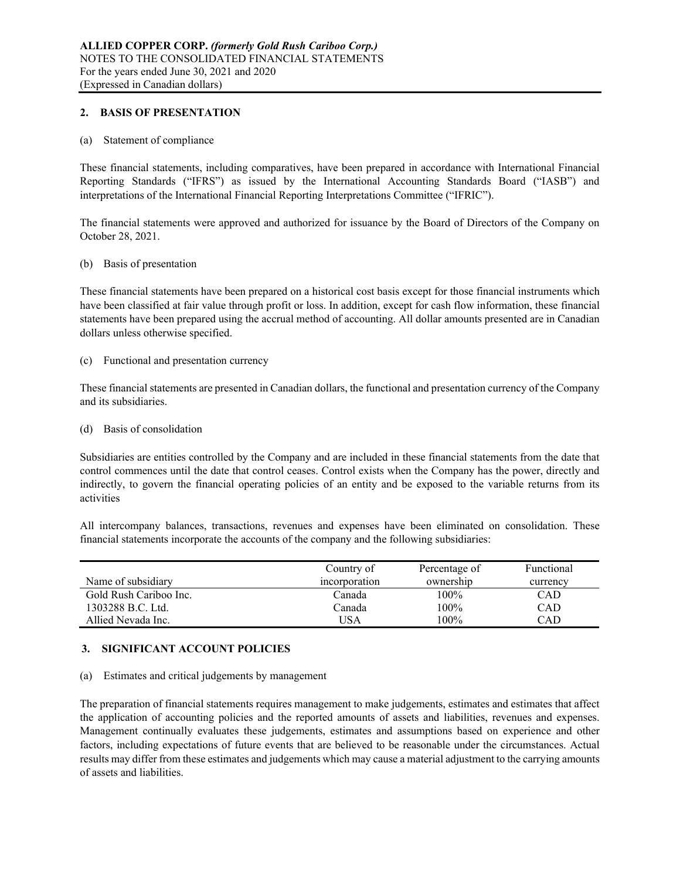# **2. BASIS OF PRESENTATION**

#### (a) Statement of compliance

These financial statements, including comparatives, have been prepared in accordance with International Financial Reporting Standards ("IFRS") as issued by the International Accounting Standards Board ("IASB") and interpretations of the International Financial Reporting Interpretations Committee ("IFRIC").

The financial statements were approved and authorized for issuance by the Board of Directors of the Company on October 28, 2021.

#### (b) Basis of presentation

These financial statements have been prepared on a historical cost basis except for those financial instruments which have been classified at fair value through profit or loss. In addition, except for cash flow information, these financial statements have been prepared using the accrual method of accounting. All dollar amounts presented are in Canadian dollars unless otherwise specified.

#### (c) Functional and presentation currency

These financial statements are presented in Canadian dollars, the functional and presentation currency of the Company and its subsidiaries.

#### (d) Basis of consolidation

Subsidiaries are entities controlled by the Company and are included in these financial statements from the date that control commences until the date that control ceases. Control exists when the Company has the power, directly and indirectly, to govern the financial operating policies of an entity and be exposed to the variable returns from its activities

All intercompany balances, transactions, revenues and expenses have been eliminated on consolidation. These financial statements incorporate the accounts of the company and the following subsidiaries:

|                        | Country of   | Percentage of | Functional |
|------------------------|--------------|---------------|------------|
| Name of subsidiary     | meorporation | ownership     | currency   |
| Gold Rush Cariboo Inc. | Canada       | $100\%$       | CAD        |
| 1303288 B.C. Ltd.      | Canada       | 100%          | CAD        |
| Allied Nevada Inc.     | USA          | 100%          | CAD        |

## **3. SIGNIFICANT ACCOUNT POLICIES**

#### (a) Estimates and critical judgements by management

The preparation of financial statements requires management to make judgements, estimates and estimates that affect the application of accounting policies and the reported amounts of assets and liabilities, revenues and expenses. Management continually evaluates these judgements, estimates and assumptions based on experience and other factors, including expectations of future events that are believed to be reasonable under the circumstances. Actual results may differ from these estimates and judgements which may cause a material adjustment to the carrying amounts of assets and liabilities.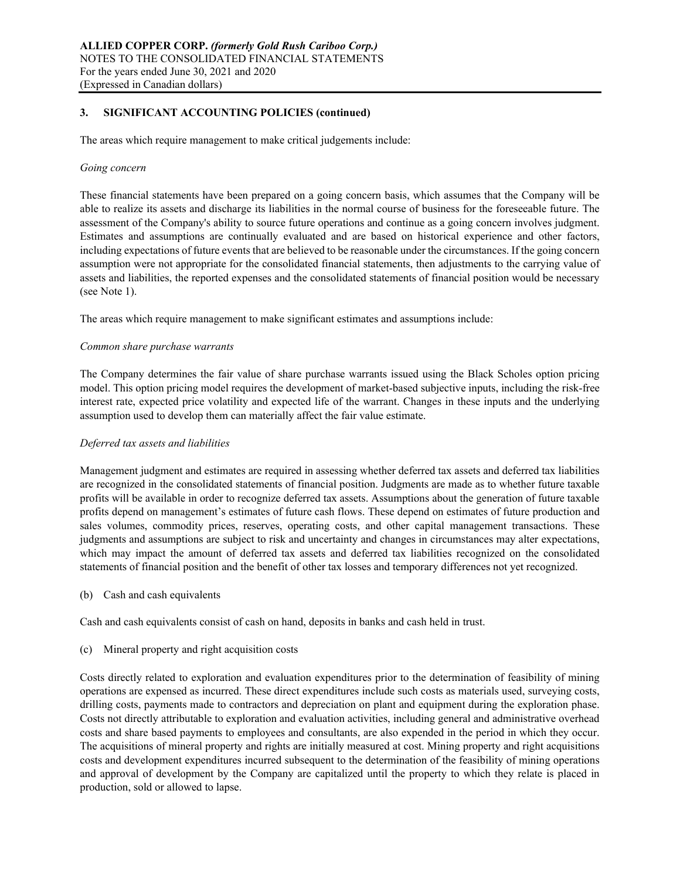The areas which require management to make critical judgements include:

## *Going concern*

These financial statements have been prepared on a going concern basis, which assumes that the Company will be able to realize its assets and discharge its liabilities in the normal course of business for the foreseeable future. The assessment of the Company's ability to source future operations and continue as a going concern involves judgment. Estimates and assumptions are continually evaluated and are based on historical experience and other factors, including expectations of future events that are believed to be reasonable under the circumstances. If the going concern assumption were not appropriate for the consolidated financial statements, then adjustments to the carrying value of assets and liabilities, the reported expenses and the consolidated statements of financial position would be necessary (see Note 1).

The areas which require management to make significant estimates and assumptions include:

## *Common share purchase warrants*

The Company determines the fair value of share purchase warrants issued using the Black Scholes option pricing model. This option pricing model requires the development of market-based subjective inputs, including the risk-free interest rate, expected price volatility and expected life of the warrant. Changes in these inputs and the underlying assumption used to develop them can materially affect the fair value estimate.

# *Deferred tax assets and liabilities*

Management judgment and estimates are required in assessing whether deferred tax assets and deferred tax liabilities are recognized in the consolidated statements of financial position. Judgments are made as to whether future taxable profits will be available in order to recognize deferred tax assets. Assumptions about the generation of future taxable profits depend on management's estimates of future cash flows. These depend on estimates of future production and sales volumes, commodity prices, reserves, operating costs, and other capital management transactions. These judgments and assumptions are subject to risk and uncertainty and changes in circumstances may alter expectations, which may impact the amount of deferred tax assets and deferred tax liabilities recognized on the consolidated statements of financial position and the benefit of other tax losses and temporary differences not yet recognized.

(b) Cash and cash equivalents

Cash and cash equivalents consist of cash on hand, deposits in banks and cash held in trust.

(c) Mineral property and right acquisition costs

Costs directly related to exploration and evaluation expenditures prior to the determination of feasibility of mining operations are expensed as incurred. These direct expenditures include such costs as materials used, surveying costs, drilling costs, payments made to contractors and depreciation on plant and equipment during the exploration phase. Costs not directly attributable to exploration and evaluation activities, including general and administrative overhead costs and share based payments to employees and consultants, are also expended in the period in which they occur. The acquisitions of mineral property and rights are initially measured at cost. Mining property and right acquisitions costs and development expenditures incurred subsequent to the determination of the feasibility of mining operations and approval of development by the Company are capitalized until the property to which they relate is placed in production, sold or allowed to lapse.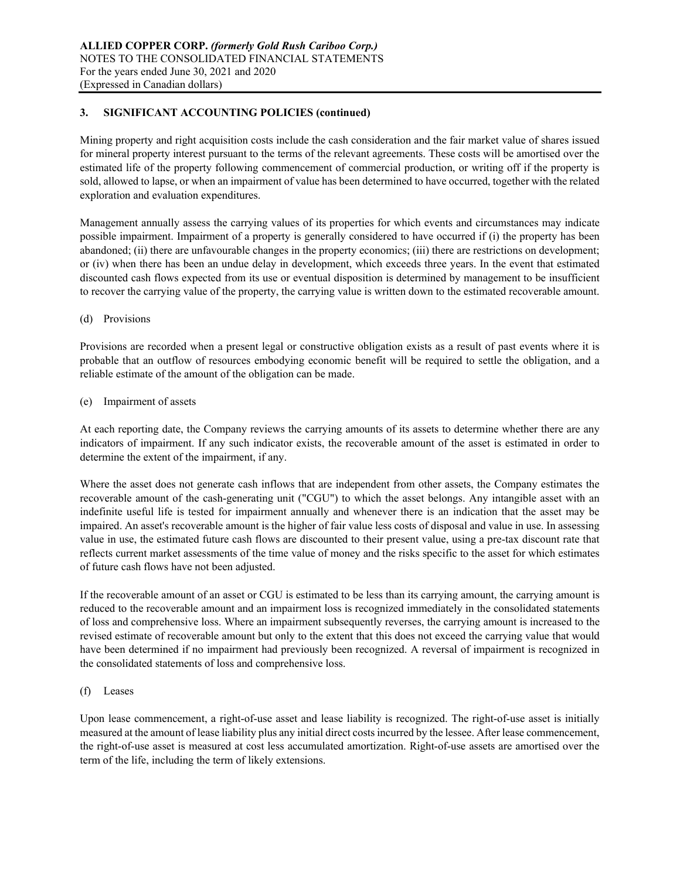Mining property and right acquisition costs include the cash consideration and the fair market value of shares issued for mineral property interest pursuant to the terms of the relevant agreements. These costs will be amortised over the estimated life of the property following commencement of commercial production, or writing off if the property is sold, allowed to lapse, or when an impairment of value has been determined to have occurred, together with the related exploration and evaluation expenditures.

Management annually assess the carrying values of its properties for which events and circumstances may indicate possible impairment. Impairment of a property is generally considered to have occurred if (i) the property has been abandoned; (ii) there are unfavourable changes in the property economics; (iii) there are restrictions on development; or (iv) when there has been an undue delay in development, which exceeds three years. In the event that estimated discounted cash flows expected from its use or eventual disposition is determined by management to be insufficient to recover the carrying value of the property, the carrying value is written down to the estimated recoverable amount.

## (d) Provisions

Provisions are recorded when a present legal or constructive obligation exists as a result of past events where it is probable that an outflow of resources embodying economic benefit will be required to settle the obligation, and a reliable estimate of the amount of the obligation can be made.

## (e) Impairment of assets

At each reporting date, the Company reviews the carrying amounts of its assets to determine whether there are any indicators of impairment. If any such indicator exists, the recoverable amount of the asset is estimated in order to determine the extent of the impairment, if any.

Where the asset does not generate cash inflows that are independent from other assets, the Company estimates the recoverable amount of the cash-generating unit ("CGU") to which the asset belongs. Any intangible asset with an indefinite useful life is tested for impairment annually and whenever there is an indication that the asset may be impaired. An asset's recoverable amount is the higher of fair value less costs of disposal and value in use. In assessing value in use, the estimated future cash flows are discounted to their present value, using a pre-tax discount rate that reflects current market assessments of the time value of money and the risks specific to the asset for which estimates of future cash flows have not been adjusted.

If the recoverable amount of an asset or CGU is estimated to be less than its carrying amount, the carrying amount is reduced to the recoverable amount and an impairment loss is recognized immediately in the consolidated statements of loss and comprehensive loss. Where an impairment subsequently reverses, the carrying amount is increased to the revised estimate of recoverable amount but only to the extent that this does not exceed the carrying value that would have been determined if no impairment had previously been recognized. A reversal of impairment is recognized in the consolidated statements of loss and comprehensive loss.

#### (f) Leases

Upon lease commencement, a right-of-use asset and lease liability is recognized. The right-of-use asset is initially measured at the amount of lease liability plus any initial direct costs incurred by the lessee. After lease commencement, the right-of-use asset is measured at cost less accumulated amortization. Right-of-use assets are amortised over the term of the life, including the term of likely extensions.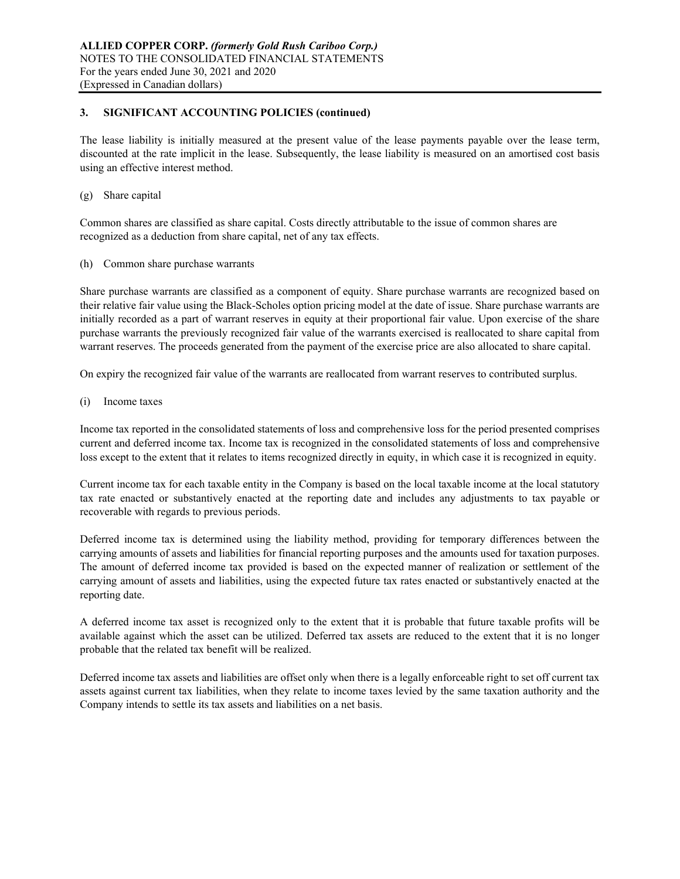The lease liability is initially measured at the present value of the lease payments payable over the lease term, discounted at the rate implicit in the lease. Subsequently, the lease liability is measured on an amortised cost basis using an effective interest method.

(g) Share capital

Common shares are classified as share capital. Costs directly attributable to the issue of common shares are recognized as a deduction from share capital, net of any tax effects.

(h) Common share purchase warrants

Share purchase warrants are classified as a component of equity. Share purchase warrants are recognized based on their relative fair value using the Black-Scholes option pricing model at the date of issue. Share purchase warrants are initially recorded as a part of warrant reserves in equity at their proportional fair value. Upon exercise of the share purchase warrants the previously recognized fair value of the warrants exercised is reallocated to share capital from warrant reserves. The proceeds generated from the payment of the exercise price are also allocated to share capital.

On expiry the recognized fair value of the warrants are reallocated from warrant reserves to contributed surplus.

(i) Income taxes

Income tax reported in the consolidated statements of loss and comprehensive loss for the period presented comprises current and deferred income tax. Income tax is recognized in the consolidated statements of loss and comprehensive loss except to the extent that it relates to items recognized directly in equity, in which case it is recognized in equity.

Current income tax for each taxable entity in the Company is based on the local taxable income at the local statutory tax rate enacted or substantively enacted at the reporting date and includes any adjustments to tax payable or recoverable with regards to previous periods.

Deferred income tax is determined using the liability method, providing for temporary differences between the carrying amounts of assets and liabilities for financial reporting purposes and the amounts used for taxation purposes. The amount of deferred income tax provided is based on the expected manner of realization or settlement of the carrying amount of assets and liabilities, using the expected future tax rates enacted or substantively enacted at the reporting date.

A deferred income tax asset is recognized only to the extent that it is probable that future taxable profits will be available against which the asset can be utilized. Deferred tax assets are reduced to the extent that it is no longer probable that the related tax benefit will be realized.

Deferred income tax assets and liabilities are offset only when there is a legally enforceable right to set off current tax assets against current tax liabilities, when they relate to income taxes levied by the same taxation authority and the Company intends to settle its tax assets and liabilities on a net basis.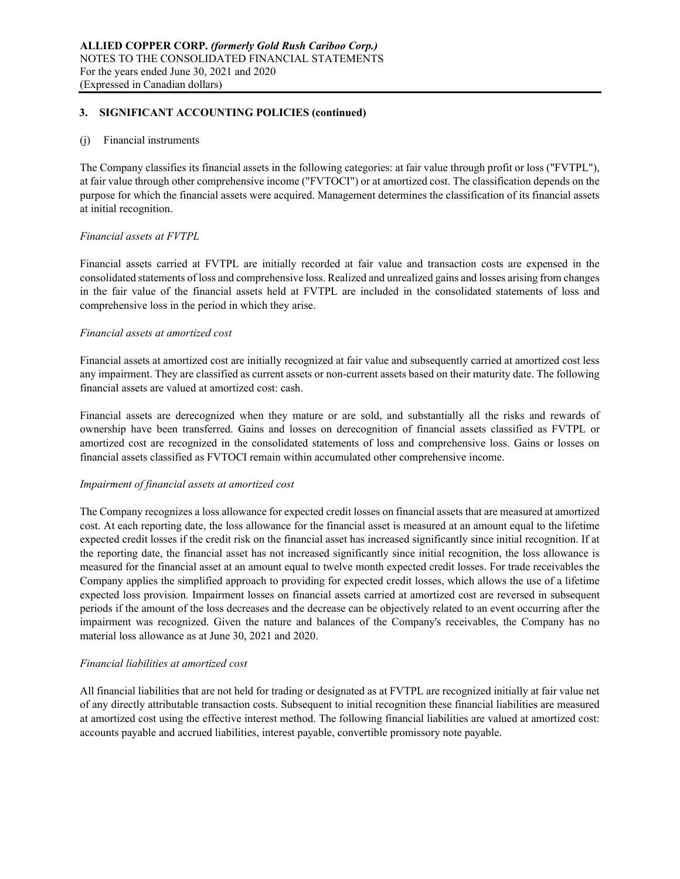## (j) Financial instruments

The Company classifies its financial assets in the following categories: at fair value through profit or loss ("FVTPL"), at fair value through other comprehensive income ("FVTOCI") or at amortized cost. The classification depends on the purpose for which the financial assets were acquired. Management determines the classification of its financial assets at initial recognition.

## *Financial assets at FVTPL*

Financial assets carried at FVTPL are initially recorded at fair value and transaction costs are expensed in the consolidated statements of loss and comprehensive loss. Realized and unrealized gains and losses arising from changes in the fair value of the financial assets held at FVTPL are included in the consolidated statements of loss and comprehensive loss in the period in which they arise.

## *Financial assets at amortized cost*

Financial assets at amortized cost are initially recognized at fair value and subsequently carried at amortized cost less any impairment. They are classified as current assets or non-current assets based on their maturity date. The following financial assets are valued at amortized cost: cash.

Financial assets are derecognized when they mature or are sold, and substantially all the risks and rewards of ownership have been transferred. Gains and losses on derecognition of financial assets classified as FVTPL or amortized cost are recognized in the consolidated statements of loss and comprehensive loss. Gains or losses on financial assets classified as FVTOCI remain within accumulated other comprehensive income.

#### *Impairment of financial assets at amortized cost*

The Company recognizes a loss allowance for expected credit losses on financial assets that are measured at amortized cost. At each reporting date, the loss allowance for the financial asset is measured at an amount equal to the lifetime expected credit losses if the credit risk on the financial asset has increased significantly since initial recognition. If at the reporting date, the financial asset has not increased significantly since initial recognition, the loss allowance is measured for the financial asset at an amount equal to twelve month expected credit losses. For trade receivables the Company applies the simplified approach to providing for expected credit losses, which allows the use of a lifetime expected loss provision. Impairment losses on financial assets carried at amortized cost are reversed in subsequent periods if the amount of the loss decreases and the decrease can be objectively related to an event occurring after the impairment was recognized. Given the nature and balances of the Company's receivables, the Company has no material loss allowance as at June 30, 2021 and 2020.

#### *Financial liabilities at amortized cost*

All financial liabilities that are not held for trading or designated as at FVTPL are recognized initially at fair value net of any directly attributable transaction costs. Subsequent to initial recognition these financial liabilities are measured at amortized cost using the effective interest method. The following financial liabilities are valued at amortized cost: accounts payable and accrued liabilities, interest payable, convertible promissory note payable.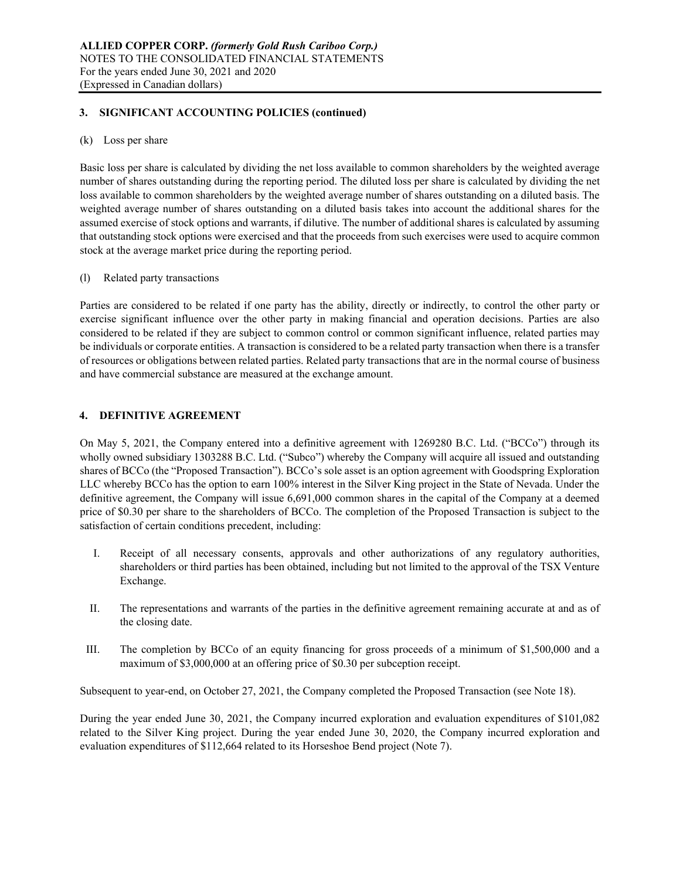# (k) Loss per share

Basic loss per share is calculated by dividing the net loss available to common shareholders by the weighted average number of shares outstanding during the reporting period. The diluted loss per share is calculated by dividing the net loss available to common shareholders by the weighted average number of shares outstanding on a diluted basis. The weighted average number of shares outstanding on a diluted basis takes into account the additional shares for the assumed exercise of stock options and warrants, if dilutive. The number of additional shares is calculated by assuming that outstanding stock options were exercised and that the proceeds from such exercises were used to acquire common stock at the average market price during the reporting period.

# (l) Related party transactions

Parties are considered to be related if one party has the ability, directly or indirectly, to control the other party or exercise significant influence over the other party in making financial and operation decisions. Parties are also considered to be related if they are subject to common control or common significant influence, related parties may be individuals or corporate entities. A transaction is considered to be a related party transaction when there is a transfer of resources or obligations between related parties. Related party transactions that are in the normal course of business and have commercial substance are measured at the exchange amount.

# **4. DEFINITIVE AGREEMENT**

On May 5, 2021, the Company entered into a definitive agreement with 1269280 B.C. Ltd. ("BCCo") through its wholly owned subsidiary 1303288 B.C. Ltd. ("Subco") whereby the Company will acquire all issued and outstanding shares of BCCo (the "Proposed Transaction"). BCCo's sole asset is an option agreement with Goodspring Exploration LLC whereby BCCo has the option to earn 100% interest in the Silver King project in the State of Nevada. Under the definitive agreement, the Company will issue 6,691,000 common shares in the capital of the Company at a deemed price of \$0.30 per share to the shareholders of BCCo. The completion of the Proposed Transaction is subject to the satisfaction of certain conditions precedent, including:

- I. Receipt of all necessary consents, approvals and other authorizations of any regulatory authorities, shareholders or third parties has been obtained, including but not limited to the approval of the TSX Venture Exchange.
- II. The representations and warrants of the parties in the definitive agreement remaining accurate at and as of the closing date.
- III. The completion by BCCo of an equity financing for gross proceeds of a minimum of \$1,500,000 and a maximum of \$3,000,000 at an offering price of \$0.30 per subception receipt.

Subsequent to year-end, on October 27, 2021, the Company completed the Proposed Transaction (see Note 18).

During the year ended June 30, 2021, the Company incurred exploration and evaluation expenditures of \$101,082 related to the Silver King project. During the year ended June 30, 2020, the Company incurred exploration and evaluation expenditures of \$112,664 related to its Horseshoe Bend project (Note 7).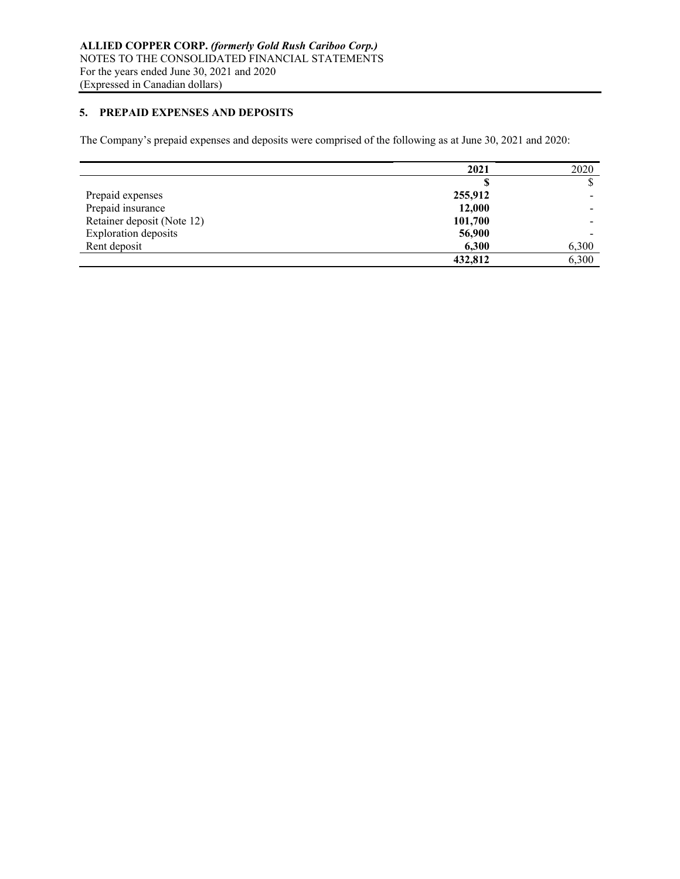# **5. PREPAID EXPENSES AND DEPOSITS**

The Company's prepaid expenses and deposits were comprised of the following as at June 30, 2021 and 2020:

|                             | 2021    | 2020  |
|-----------------------------|---------|-------|
|                             |         |       |
| Prepaid expenses            | 255,912 |       |
| Prepaid insurance           | 12,000  |       |
| Retainer deposit (Note 12)  | 101,700 |       |
| <b>Exploration deposits</b> | 56,900  |       |
| Rent deposit                | 6,300   | 6,300 |
|                             | 432,812 | 6,300 |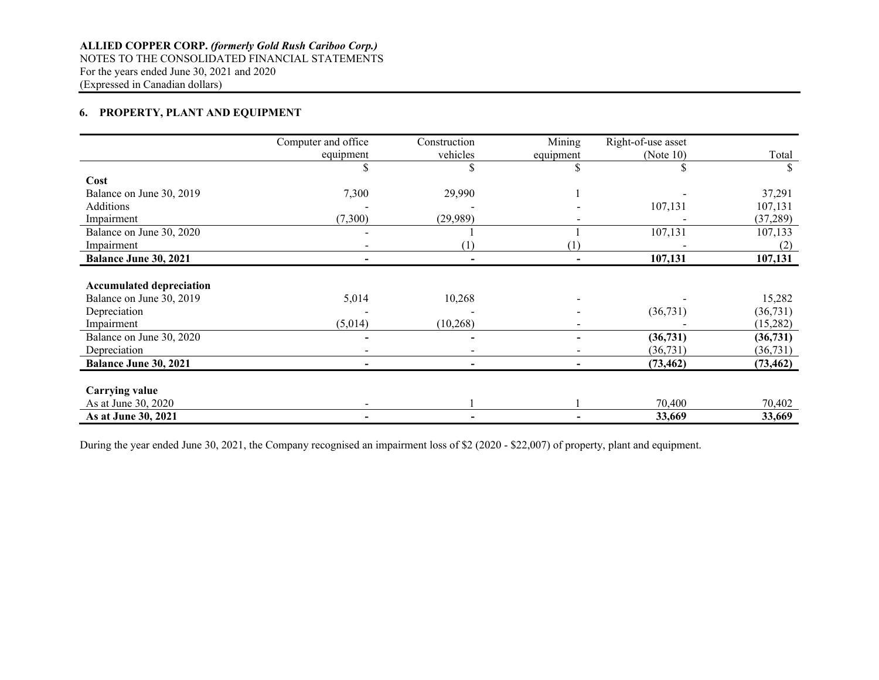# **ALLIED COPPER CORP.** *(formerly Gold Rush Cariboo Corp.)* NOTES TO THE CONSOLIDATED FINANCIAL STATEMENTS For the years ended June 30, 2021 and 2020 (Expressed in Canadian dollars)

# **6. PROPERTY, PLANT AND EQUIPMENT**

|                                 | Computer and office | Construction | Mining    | Right-of-use asset |           |
|---------------------------------|---------------------|--------------|-----------|--------------------|-----------|
|                                 | equipment           | vehicles     | equipment | (Note $10$ )       | Total     |
|                                 |                     |              |           |                    |           |
| Cost                            |                     |              |           |                    |           |
| Balance on June 30, 2019        | 7,300               | 29,990       |           |                    | 37,291    |
| Additions                       |                     |              |           | 107,131            | 107,131   |
| Impairment                      | (7,300)             | (29,989)     |           |                    | (37, 289) |
| Balance on June 30, 2020        |                     |              |           | 107,131            | 107,133   |
| Impairment                      |                     | (1)          | (1)       |                    | (2)       |
| Balance June 30, 2021           |                     |              |           | 107,131            | 107,131   |
|                                 |                     |              |           |                    |           |
| <b>Accumulated depreciation</b> |                     |              |           |                    |           |
| Balance on June 30, 2019        | 5,014               | 10,268       |           |                    | 15,282    |
| Depreciation                    |                     |              |           | (36, 731)          | (36, 731) |
| Impairment                      | (5,014)             | (10, 268)    |           |                    | (15, 282) |
| Balance on June 30, 2020        |                     |              |           | (36, 731)          | (36, 731) |
| Depreciation                    |                     |              |           | (36, 731)          | (36, 731) |
| Balance June 30, 2021           |                     |              |           | (73, 462)          | (73, 462) |
|                                 |                     |              |           |                    |           |
| <b>Carrying value</b>           |                     |              |           |                    |           |
| As at June 30, 2020             |                     |              |           | 70,400             | 70,402    |
| As at June 30, 2021             |                     |              |           | 33,669             | 33,669    |

During the year ended June 30, 2021, the Company recognised an impairment loss of \$2 (2020 - \$22,007) of property, plant and equipment.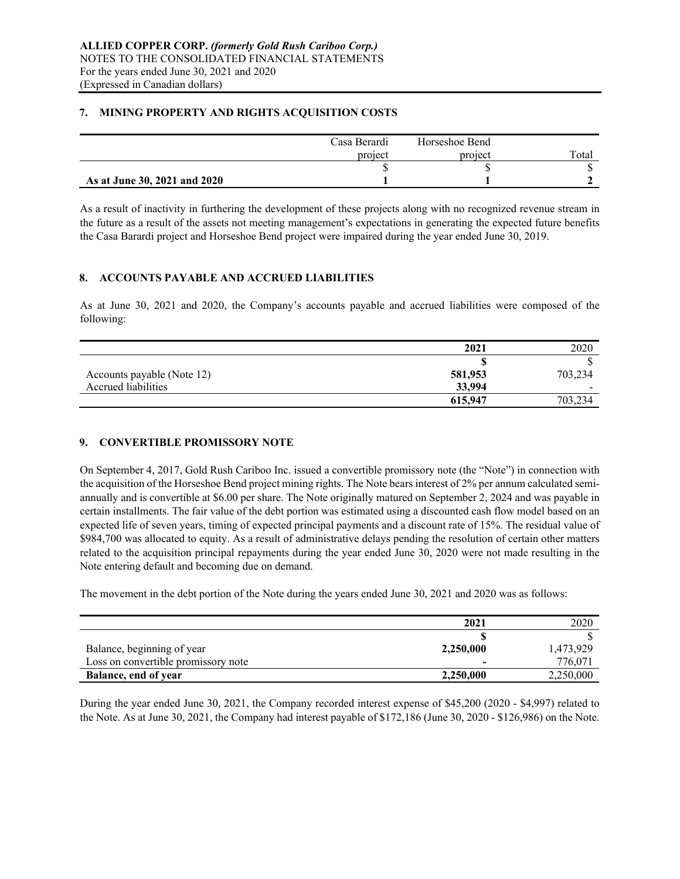# **7. MINING PROPERTY AND RIGHTS ACQUISITION COSTS**

|                              | Casa Berardi | Horseshoe Bend |       |
|------------------------------|--------------|----------------|-------|
|                              | project      | project        | Total |
|                              |              |                |       |
| As at June 30, 2021 and 2020 |              |                |       |

As a result of inactivity in furthering the development of these projects along with no recognized revenue stream in the future as a result of the assets not meeting management's expectations in generating the expected future benefits the Casa Barardi project and Horseshoe Bend project were impaired during the year ended June 30, 2019.

# **8. ACCOUNTS PAYABLE AND ACCRUED LIABILITIES**

As at June 30, 2021 and 2020, the Company's accounts payable and accrued liabilities were composed of the following:

|                            | 2021    | 2020    |
|----------------------------|---------|---------|
|                            |         |         |
| Accounts payable (Note 12) | 581,953 | 703,234 |
| Accrued liabilities        | 33,994  | -       |
|                            | 615,947 |         |

# **9. CONVERTIBLE PROMISSORY NOTE**

On September 4, 2017, Gold Rush Cariboo Inc. issued a convertible promissory note (the "Note") in connection with the acquisition of the Horseshoe Bend project mining rights. The Note bears interest of 2% per annum calculated semiannually and is convertible at \$6.00 per share. The Note originally matured on September 2, 2024 and was payable in certain installments. The fair value of the debt portion was estimated using a discounted cash flow model based on an expected life of seven years, timing of expected principal payments and a discount rate of 15%. The residual value of \$984,700 was allocated to equity. As a result of administrative delays pending the resolution of certain other matters related to the acquisition principal repayments during the year ended June 30, 2020 were not made resulting in the Note entering default and becoming due on demand.

The movement in the debt portion of the Note during the years ended June 30, 2021 and 2020 was as follows:

|                                     | 2021      | 2020      |
|-------------------------------------|-----------|-----------|
|                                     |           |           |
| Balance, beginning of year          | 2,250,000 | 1,473,929 |
| Loss on convertible promissory note |           | 776,071   |
| Balance, end of year                | 2,250,000 | 2,250,000 |

During the year ended June 30, 2021, the Company recorded interest expense of \$45,200 (2020 - \$4,997) related to the Note. As at June 30, 2021, the Company had interest payable of \$172,186 (June 30, 2020 - \$126,986) on the Note.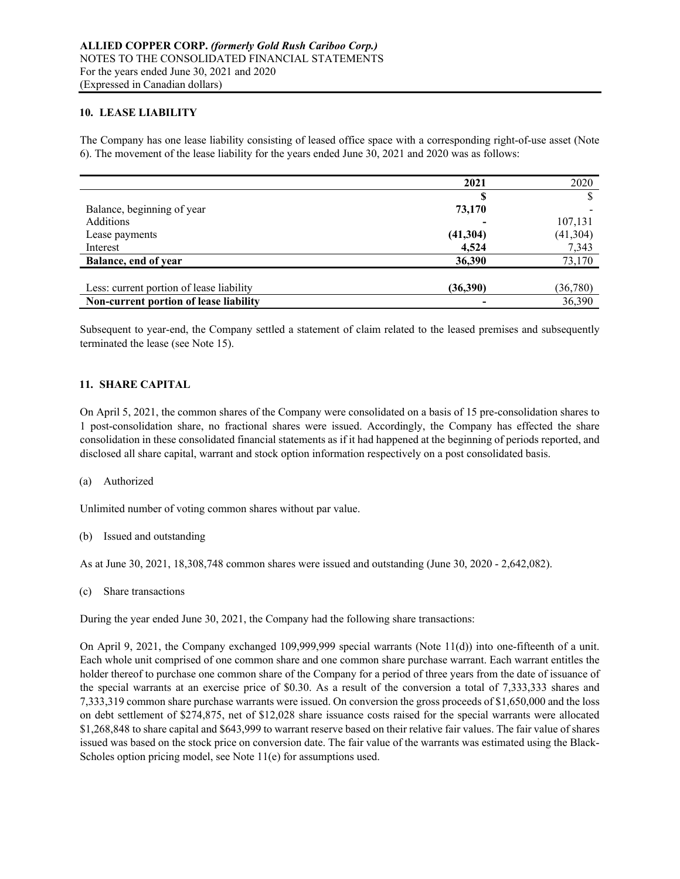# **10. LEASE LIABILITY**

The Company has one lease liability consisting of leased office space with a corresponding right-of-use asset (Note 6). The movement of the lease liability for the years ended June 30, 2021 and 2020 was as follows:

|                                          | 2021      | 2020      |
|------------------------------------------|-----------|-----------|
|                                          |           |           |
| Balance, beginning of year               | 73,170    |           |
| Additions                                |           | 107,131   |
| Lease payments                           | (41, 304) | (41, 304) |
| Interest                                 | 4.524     | 7,343     |
| Balance, end of year                     | 36,390    | 73,170    |
|                                          |           |           |
| Less: current portion of lease liability | (36,390)  | (36,780)  |
| Non-current portion of lease liability   |           | 36,390    |

Subsequent to year-end, the Company settled a statement of claim related to the leased premises and subsequently terminated the lease (see Note 15).

## **11. SHARE CAPITAL**

On April 5, 2021, the common shares of the Company were consolidated on a basis of 15 pre-consolidation shares to 1 post-consolidation share, no fractional shares were issued. Accordingly, the Company has effected the share consolidation in these consolidated financial statements as if it had happened at the beginning of periods reported, and disclosed all share capital, warrant and stock option information respectively on a post consolidated basis.

(a) Authorized

Unlimited number of voting common shares without par value.

(b) Issued and outstanding

As at June 30, 2021, 18,308,748 common shares were issued and outstanding (June 30, 2020 - 2,642,082).

(c) Share transactions

During the year ended June 30, 2021, the Company had the following share transactions:

On April 9, 2021, the Company exchanged 109,999,999 special warrants (Note 11(d)) into one-fifteenth of a unit. Each whole unit comprised of one common share and one common share purchase warrant. Each warrant entitles the holder thereof to purchase one common share of the Company for a period of three years from the date of issuance of the special warrants at an exercise price of \$0.30. As a result of the conversion a total of 7,333,333 shares and 7,333,319 common share purchase warrants were issued. On conversion the gross proceeds of \$1,650,000 and the loss on debt settlement of \$274,875, net of \$12,028 share issuance costs raised for the special warrants were allocated \$1,268,848 to share capital and \$643,999 to warrant reserve based on their relative fair values. The fair value of shares issued was based on the stock price on conversion date. The fair value of the warrants was estimated using the Black-Scholes option pricing model, see Note 11(e) for assumptions used.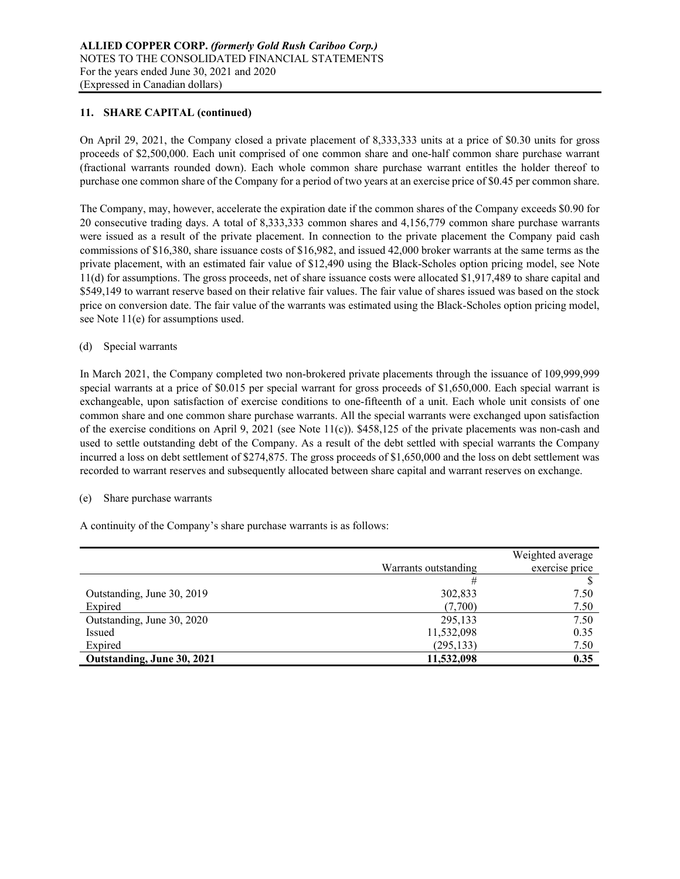# **11. SHARE CAPITAL (continued)**

On April 29, 2021, the Company closed a private placement of 8,333,333 units at a price of \$0.30 units for gross proceeds of \$2,500,000. Each unit comprised of one common share and one-half common share purchase warrant (fractional warrants rounded down). Each whole common share purchase warrant entitles the holder thereof to purchase one common share of the Company for a period of two years at an exercise price of \$0.45 per common share.

The Company, may, however, accelerate the expiration date if the common shares of the Company exceeds \$0.90 for 20 consecutive trading days. A total of 8,333,333 common shares and 4,156,779 common share purchase warrants were issued as a result of the private placement. In connection to the private placement the Company paid cash commissions of \$16,380, share issuance costs of \$16,982, and issued 42,000 broker warrants at the same terms as the private placement, with an estimated fair value of \$12,490 using the Black-Scholes option pricing model, see Note 11(d) for assumptions. The gross proceeds, net of share issuance costs were allocated \$1,917,489 to share capital and \$549,149 to warrant reserve based on their relative fair values. The fair value of shares issued was based on the stock price on conversion date. The fair value of the warrants was estimated using the Black-Scholes option pricing model, see Note 11(e) for assumptions used.

# (d) Special warrants

In March 2021, the Company completed two non-brokered private placements through the issuance of 109,999,999 special warrants at a price of \$0.015 per special warrant for gross proceeds of \$1,650,000. Each special warrant is exchangeable, upon satisfaction of exercise conditions to one-fifteenth of a unit. Each whole unit consists of one common share and one common share purchase warrants. All the special warrants were exchanged upon satisfaction of the exercise conditions on April 9, 2021 (see Note 11(c)). \$458,125 of the private placements was non-cash and used to settle outstanding debt of the Company. As a result of the debt settled with special warrants the Company incurred a loss on debt settlement of \$274,875. The gross proceeds of \$1,650,000 and the loss on debt settlement was recorded to warrant reserves and subsequently allocated between share capital and warrant reserves on exchange.

#### (e) Share purchase warrants

A continuity of the Company's share purchase warrants is as follows:

|                            |                      | Weighted average<br>exercise price |
|----------------------------|----------------------|------------------------------------|
|                            | Warrants outstanding |                                    |
|                            | #                    |                                    |
| Outstanding, June 30, 2019 | 302,833              | 7.50                               |
| Expired                    | (7,700)              | 7.50                               |
| Outstanding, June 30, 2020 | 295,133              | 7.50                               |
| Issued                     | 11,532,098           | 0.35                               |
| Expired                    | (295, 133)           | 7.50                               |
| Outstanding, June 30, 2021 | 11,532,098           | 0.35                               |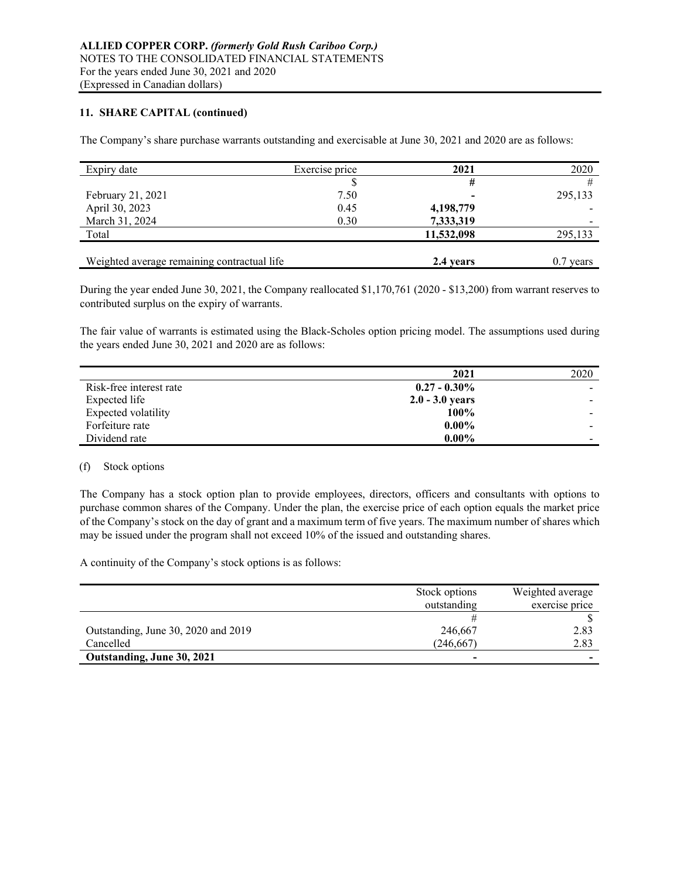# **11. SHARE CAPITAL (continued)**

The Company's share purchase warrants outstanding and exercisable at June 30, 2021 and 2020 are as follows:

| Expiry date                                 | Exercise price | 2021       | 2020        |
|---------------------------------------------|----------------|------------|-------------|
|                                             |                | #          |             |
| February 21, 2021                           | 7.50           |            | 295,133     |
| April 30, 2023                              | 0.45           | 4,198,779  |             |
| March 31, 2024                              | 0.30           | 7,333,319  |             |
| Total                                       |                | 11,532,098 | 295,133     |
| Weighted average remaining contractual life |                | 2.4 years  | $0.7$ years |

During the year ended June 30, 2021, the Company reallocated \$1,170,761 (2020 - \$13,200) from warrant reserves to contributed surplus on the expiry of warrants.

The fair value of warrants is estimated using the Black-Scholes option pricing model. The assumptions used during the years ended June 30, 2021 and 2020 are as follows:

|                         | 2021              | 2020                     |
|-------------------------|-------------------|--------------------------|
| Risk-free interest rate | $0.27 - 0.30\%$   | $\overline{\phantom{a}}$ |
| Expected life           | $2.0 - 3.0$ years | -                        |
| Expected volatility     | 100%              | -                        |
| Forfeiture rate         | $0.00\%$          | -                        |
| Dividend rate           | $0.00\%$          | $\overline{\phantom{a}}$ |

#### (f) Stock options

The Company has a stock option plan to provide employees, directors, officers and consultants with options to purchase common shares of the Company. Under the plan, the exercise price of each option equals the market price of the Company's stock on the day of grant and a maximum term of five years. The maximum number of shares which may be issued under the program shall not exceed 10% of the issued and outstanding shares.

A continuity of the Company's stock options is as follows:

|                                     | Stock options<br>outstanding | Weighted average<br>exercise price |
|-------------------------------------|------------------------------|------------------------------------|
|                                     |                              |                                    |
| Outstanding, June 30, 2020 and 2019 | 246,667                      | 2.83                               |
| Cancelled                           | (246,667)                    | 2.83                               |
| Outstanding, June 30, 2021          | $\overline{\phantom{0}}$     | $\overline{\phantom{0}}$           |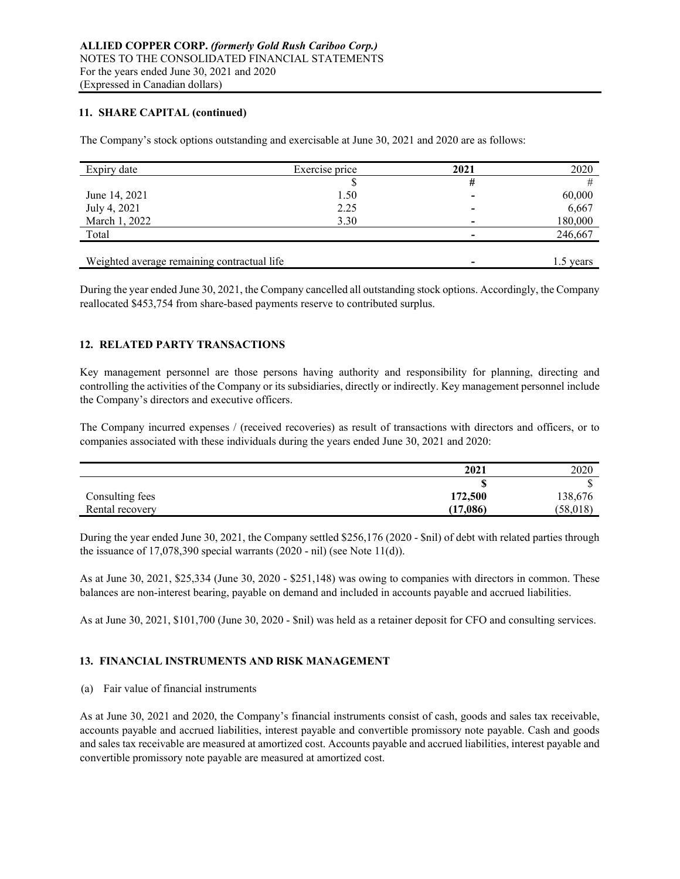# **11. SHARE CAPITAL (continued)**

The Company's stock options outstanding and exercisable at June 30, 2021 and 2020 are as follows:

| Expiry date                                 | Exercise price | 2021                     | 2020      |
|---------------------------------------------|----------------|--------------------------|-----------|
|                                             |                | #                        |           |
| June 14, 2021                               | 1.50           | $\blacksquare$           | 60,000    |
| July 4, 2021                                | 2.25           | $\overline{\phantom{0}}$ | 6,667     |
| March 1, 2022                               | 3.30           | $\blacksquare$           | 180,000   |
| Total                                       |                | $\,$                     | 246,667   |
|                                             |                |                          |           |
| Weighted average remaining contractual life |                | $\blacksquare$           | 1.5 years |

During the year ended June 30, 2021, the Company cancelled all outstanding stock options. Accordingly, the Company reallocated \$453,754 from share-based payments reserve to contributed surplus.

# **12. RELATED PARTY TRANSACTIONS**

Key management personnel are those persons having authority and responsibility for planning, directing and controlling the activities of the Company or its subsidiaries, directly or indirectly. Key management personnel include the Company's directors and executive officers.

The Company incurred expenses / (received recoveries) as result of transactions with directors and officers, or to companies associated with these individuals during the years ended June 30, 2021 and 2020:

|                 | 2021     | 2020      |
|-----------------|----------|-----------|
|                 |          |           |
| Consulting fees | 172,500  | 138,676   |
| Rental recovery | (17,086) | (58, 018) |

During the year ended June 30, 2021, the Company settled \$256,176 (2020 - \$nil) of debt with related parties through the issuance of  $17,078,390$  special warrants  $(2020 - \text{nil})$  (see Note  $11(d)$ ).

As at June 30, 2021, \$25,334 (June 30, 2020 - \$251,148) was owing to companies with directors in common. These balances are non-interest bearing, payable on demand and included in accounts payable and accrued liabilities.

As at June 30, 2021, \$101,700 (June 30, 2020 - \$nil) was held as a retainer deposit for CFO and consulting services.

# **13. FINANCIAL INSTRUMENTS AND RISK MANAGEMENT**

## (a) Fair value of financial instruments

As at June 30, 2021 and 2020, the Company's financial instruments consist of cash, goods and sales tax receivable, accounts payable and accrued liabilities, interest payable and convertible promissory note payable. Cash and goods and sales tax receivable are measured at amortized cost. Accounts payable and accrued liabilities, interest payable and convertible promissory note payable are measured at amortized cost.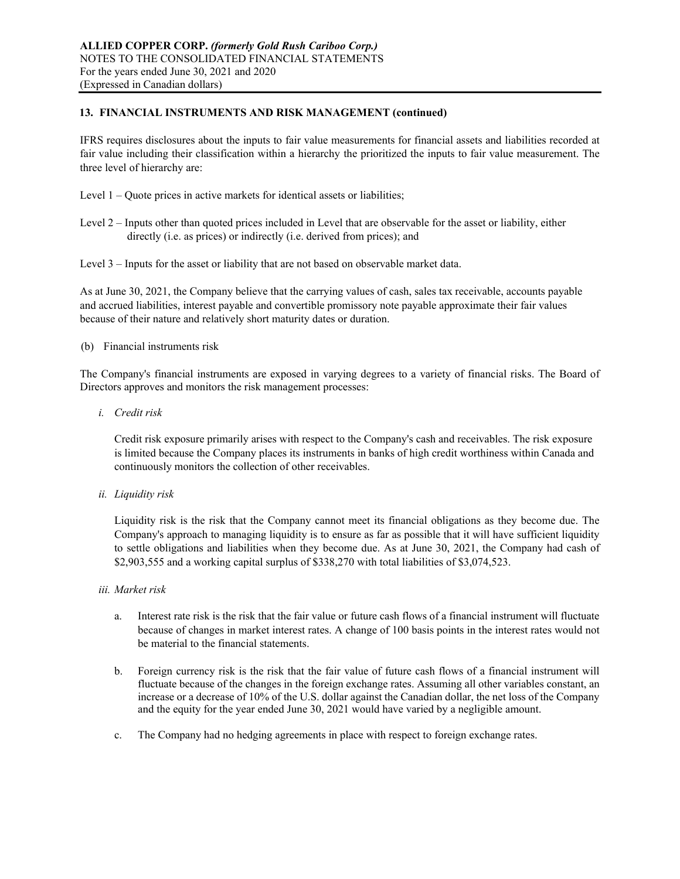# **13. FINANCIAL INSTRUMENTS AND RISK MANAGEMENT (continued)**

IFRS requires disclosures about the inputs to fair value measurements for financial assets and liabilities recorded at fair value including their classification within a hierarchy the prioritized the inputs to fair value measurement. The three level of hierarchy are:

Level 1 – Quote prices in active markets for identical assets or liabilities;

Level 2 – Inputs other than quoted prices included in Level that are observable for the asset or liability, either directly (i.e. as prices) or indirectly (i.e. derived from prices); and

Level 3 – Inputs for the asset or liability that are not based on observable market data.

As at June 30, 2021, the Company believe that the carrying values of cash, sales tax receivable, accounts payable and accrued liabilities, interest payable and convertible promissory note payable approximate their fair values because of their nature and relatively short maturity dates or duration.

(b) Financial instruments risk

The Company's financial instruments are exposed in varying degrees to a variety of financial risks. The Board of Directors approves and monitors the risk management processes:

*i. Credit risk* 

Credit risk exposure primarily arises with respect to the Company's cash and receivables. The risk exposure is limited because the Company places its instruments in banks of high credit worthiness within Canada and continuously monitors the collection of other receivables.

*ii. Liquidity risk* 

Liquidity risk is the risk that the Company cannot meet its financial obligations as they become due. The Company's approach to managing liquidity is to ensure as far as possible that it will have sufficient liquidity to settle obligations and liabilities when they become due. As at June 30, 2021, the Company had cash of \$2,903,555 and a working capital surplus of \$338,270 with total liabilities of \$3,074,523.

# *iii. Market risk*

- a. Interest rate risk is the risk that the fair value or future cash flows of a financial instrument will fluctuate because of changes in market interest rates. A change of 100 basis points in the interest rates would not be material to the financial statements.
- b. Foreign currency risk is the risk that the fair value of future cash flows of a financial instrument will fluctuate because of the changes in the foreign exchange rates. Assuming all other variables constant, an increase or a decrease of 10% of the U.S. dollar against the Canadian dollar, the net loss of the Company and the equity for the year ended June 30, 2021 would have varied by a negligible amount.
- c. The Company had no hedging agreements in place with respect to foreign exchange rates.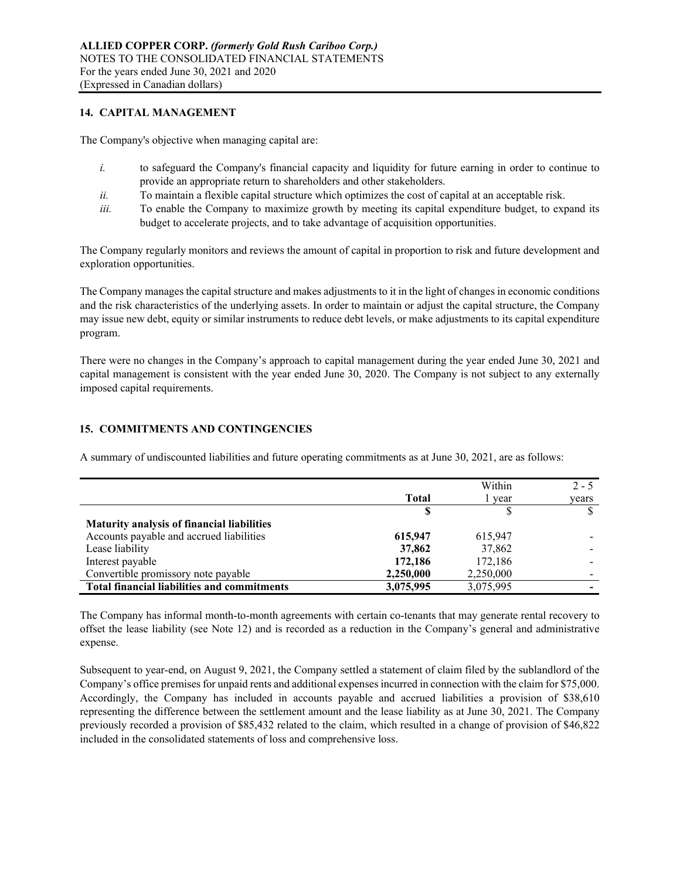# **14. CAPITAL MANAGEMENT**

The Company's objective when managing capital are:

- *i.* to safeguard the Company's financial capacity and liquidity for future earning in order to continue to provide an appropriate return to shareholders and other stakeholders.
- *ii.* To maintain a flexible capital structure which optimizes the cost of capital at an acceptable risk.
- *iii.* To enable the Company to maximize growth by meeting its capital expenditure budget, to expand its budget to accelerate projects, and to take advantage of acquisition opportunities.

The Company regularly monitors and reviews the amount of capital in proportion to risk and future development and exploration opportunities.

The Company manages the capital structure and makes adjustments to it in the light of changes in economic conditions and the risk characteristics of the underlying assets. In order to maintain or adjust the capital structure, the Company may issue new debt, equity or similar instruments to reduce debt levels, or make adjustments to its capital expenditure program.

There were no changes in the Company's approach to capital management during the year ended June 30, 2021 and capital management is consistent with the year ended June 30, 2020. The Company is not subject to any externally imposed capital requirements.

# **15. COMMITMENTS AND CONTINGENCIES**

A summary of undiscounted liabilities and future operating commitments as at June 30, 2021, are as follows:

|                                                    |           | Within    | $2 - 5$ |
|----------------------------------------------------|-----------|-----------|---------|
|                                                    | Total     | year      | years   |
|                                                    | S         |           |         |
| <b>Maturity analysis of financial liabilities</b>  |           |           |         |
| Accounts payable and accrued liabilities           | 615,947   | 615.947   |         |
| Lease liability                                    | 37,862    | 37,862    |         |
| Interest payable                                   | 172,186   | 172,186   |         |
| Convertible promissory note payable                | 2,250,000 | 2,250,000 |         |
| <b>Total financial liabilities and commitments</b> | 3,075,995 | 3,075,995 |         |

The Company has informal month-to-month agreements with certain co-tenants that may generate rental recovery to offset the lease liability (see Note 12) and is recorded as a reduction in the Company's general and administrative expense.

Subsequent to year-end, on August 9, 2021, the Company settled a statement of claim filed by the sublandlord of the Company's office premises for unpaid rents and additional expenses incurred in connection with the claim for \$75,000. Accordingly, the Company has included in accounts payable and accrued liabilities a provision of \$38,610 representing the difference between the settlement amount and the lease liability as at June 30, 2021. The Company previously recorded a provision of \$85,432 related to the claim, which resulted in a change of provision of \$46,822 included in the consolidated statements of loss and comprehensive loss.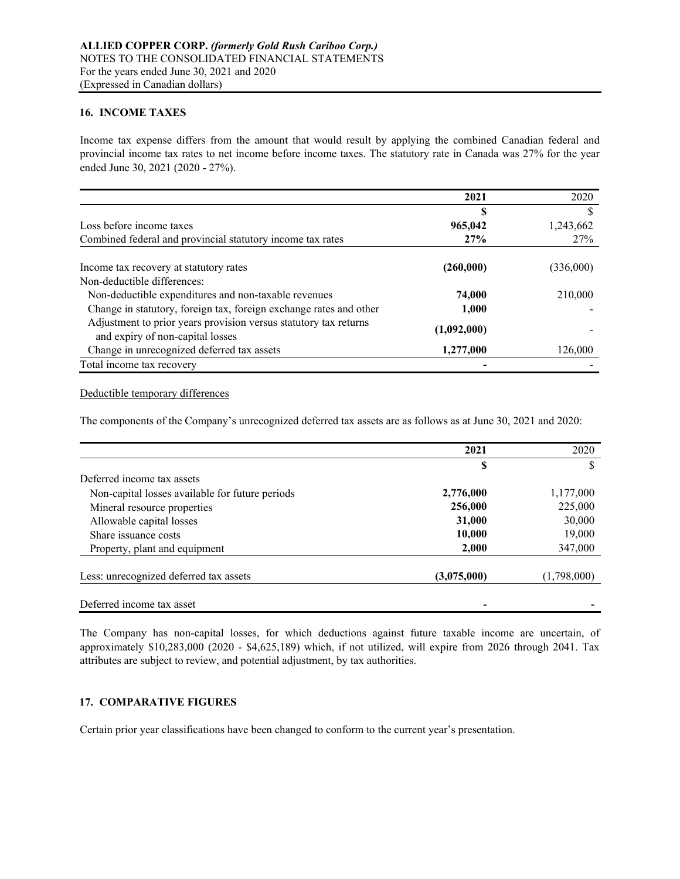# **16. INCOME TAXES**

Income tax expense differs from the amount that would result by applying the combined Canadian federal and provincial income tax rates to net income before income taxes. The statutory rate in Canada was 27% for the year ended June 30, 2021 (2020 - 27%).

|                                                                                                      | 2021        | 2020      |
|------------------------------------------------------------------------------------------------------|-------------|-----------|
|                                                                                                      | S           |           |
| Loss before income taxes                                                                             | 965,042     | 1,243,662 |
| Combined federal and provincial statutory income tax rates                                           | 27%         | 27%       |
| Income tax recovery at statutory rates<br>Non-deductible differences:                                | (260,000)   | (336,000) |
| Non-deductible expenditures and non-taxable revenues                                                 | 74,000      | 210,000   |
| Change in statutory, foreign tax, foreign exchange rates and other                                   | 1,000       |           |
| Adjustment to prior years provision versus statutory tax returns<br>and expiry of non-capital losses | (1,092,000) |           |
| Change in unrecognized deferred tax assets                                                           | 1,277,000   | 126,000   |
| Total income tax recovery                                                                            |             |           |

# Deductible temporary differences

The components of the Company's unrecognized deferred tax assets are as follows as at June 30, 2021 and 2020:

|                                                 | 2021        | 2020        |
|-------------------------------------------------|-------------|-------------|
|                                                 | S           |             |
| Deferred income tax assets                      |             |             |
| Non-capital losses available for future periods | 2,776,000   | 1,177,000   |
| Mineral resource properties                     | 256,000     | 225,000     |
| Allowable capital losses                        | 31,000      | 30,000      |
| Share issuance costs                            | 10,000      | 19,000      |
| Property, plant and equipment                   | 2,000       | 347,000     |
| Less: unrecognized deferred tax assets          | (3,075,000) | (1,798,000) |
| Deferred income tax asset                       |             |             |

The Company has non-capital losses, for which deductions against future taxable income are uncertain, of approximately \$10,283,000 (2020 - \$4,625,189) which, if not utilized, will expire from 2026 through 2041. Tax attributes are subject to review, and potential adjustment, by tax authorities.

# **17. COMPARATIVE FIGURES**

Certain prior year classifications have been changed to conform to the current year's presentation.